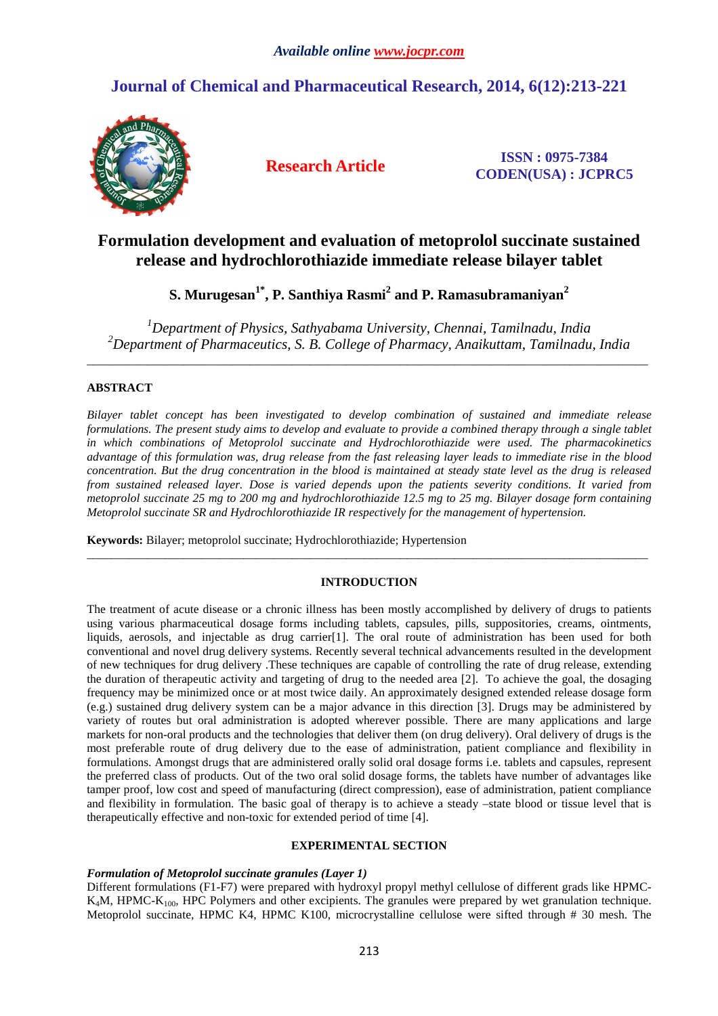# **Journal of Chemical and Pharmaceutical Research, 2014, 6(12):213-221**



**Research Article ISSN : 0975-7384 CODEN(USA) : JCPRC5**

## **Formulation development and evaluation of metoprolol succinate sustained release and hydrochlorothiazide immediate release bilayer tablet**

**S. Murugesan1\*, P. Santhiya Rasmi<sup>2</sup> and P. Ramasubramaniyan<sup>2</sup>**

*<sup>1</sup>Department of Physics, Sathyabama University, Chennai, Tamilnadu, India <sup>2</sup>Department of Pharmaceutics, S. B. College of Pharmacy, Anaikuttam, Tamilnadu, India* 

\_\_\_\_\_\_\_\_\_\_\_\_\_\_\_\_\_\_\_\_\_\_\_\_\_\_\_\_\_\_\_\_\_\_\_\_\_\_\_\_\_\_\_\_\_\_\_\_\_\_\_\_\_\_\_\_\_\_\_\_\_\_\_\_\_\_\_\_\_\_\_\_\_\_\_\_\_\_\_\_\_\_\_\_\_\_\_\_\_\_\_\_\_

## **ABSTRACT**

*Bilayer tablet concept has been investigated to develop combination of sustained and immediate release formulations. The present study aims to develop and evaluate to provide a combined therapy through a single tablet in which combinations of Metoprolol succinate and Hydrochlorothiazide were used. The pharmacokinetics advantage of this formulation was, drug release from the fast releasing layer leads to immediate rise in the blood concentration. But the drug concentration in the blood is maintained at steady state level as the drug is released from sustained released layer. Dose is varied depends upon the patients severity conditions. It varied from metoprolol succinate 25 mg to 200 mg and hydrochlorothiazide 12.5 mg to 25 mg. Bilayer dosage form containing Metoprolol succinate SR and Hydrochlorothiazide IR respectively for the management of hypertension.* 

**Keywords:** Bilayer; metoprolol succinate; Hydrochlorothiazide; Hypertension

## **INTRODUCTION**

\_\_\_\_\_\_\_\_\_\_\_\_\_\_\_\_\_\_\_\_\_\_\_\_\_\_\_\_\_\_\_\_\_\_\_\_\_\_\_\_\_\_\_\_\_\_\_\_\_\_\_\_\_\_\_\_\_\_\_\_\_\_\_\_\_\_\_\_\_\_\_\_\_\_\_\_\_\_\_\_\_\_\_\_\_\_\_\_\_\_\_\_\_

The treatment of acute disease or a chronic illness has been mostly accomplished by delivery of drugs to patients using various pharmaceutical dosage forms including tablets, capsules, pills, suppositories, creams, ointments, liquids, aerosols, and injectable as drug carrier[1]. The oral route of administration has been used for both conventional and novel drug delivery systems. Recently several technical advancements resulted in the development of new techniques for drug delivery .These techniques are capable of controlling the rate of drug release, extending the duration of therapeutic activity and targeting of drug to the needed area [2]. To achieve the goal, the dosaging frequency may be minimized once or at most twice daily. An approximately designed extended release dosage form (e.g.) sustained drug delivery system can be a major advance in this direction [3]. Drugs may be administered by variety of routes but oral administration is adopted wherever possible. There are many applications and large markets for non-oral products and the technologies that deliver them (on drug delivery). Oral delivery of drugs is the most preferable route of drug delivery due to the ease of administration, patient compliance and flexibility in formulations. Amongst drugs that are administered orally solid oral dosage forms i.e. tablets and capsules, represent the preferred class of products. Out of the two oral solid dosage forms, the tablets have number of advantages like tamper proof, low cost and speed of manufacturing (direct compression), ease of administration, patient compliance and flexibility in formulation. The basic goal of therapy is to achieve a steady –state blood or tissue level that is therapeutically effective and non-toxic for extended period of time [4].

## **EXPERIMENTAL SECTION**

## *Formulation of Metoprolol succinate granules (Layer 1)*

Different formulations (F1-F7) were prepared with hydroxyl propyl methyl cellulose of different grads like HPMC- $K<sub>4</sub>M$ , HPMC- $K<sub>100</sub>$ , HPC Polymers and other excipients. The granules were prepared by wet granulation technique. Metoprolol succinate, HPMC K4, HPMC K100, microcrystalline cellulose were sifted through # 30 mesh. The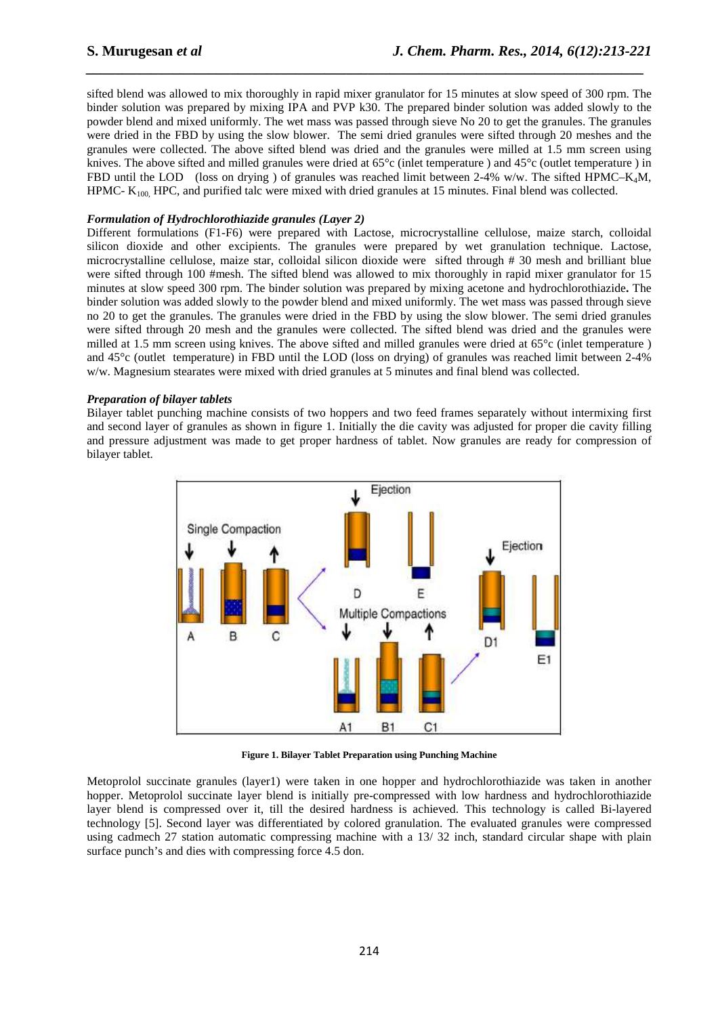sifted blend was allowed to mix thoroughly in rapid mixer granulator for 15 minutes at slow speed of 300 rpm. The binder solution was prepared by mixing IPA and PVP k30. The prepared binder solution was added slowly to the powder blend and mixed uniformly. The wet mass was passed through sieve No 20 to get the granules. The granules were dried in the FBD by using the slow blower. The semi dried granules were sifted through 20 meshes and the granules were collected. The above sifted blend was dried and the granules were milled at 1.5 mm screen using knives. The above sifted and milled granules were dried at 65°c (inlet temperature ) and 45°c (outlet temperature ) in FBD until the LOD (loss on drying ) of granules was reached limit between 2-4% w/w. The sifted HPMC–K<sub>4</sub>M, HPMC- K<sub>100,</sub> HPC, and purified talc were mixed with dried granules at 15 minutes. Final blend was collected.

*\_\_\_\_\_\_\_\_\_\_\_\_\_\_\_\_\_\_\_\_\_\_\_\_\_\_\_\_\_\_\_\_\_\_\_\_\_\_\_\_\_\_\_\_\_\_\_\_\_\_\_\_\_\_\_\_\_\_\_\_\_\_\_\_\_\_\_\_\_\_\_\_\_\_\_\_\_*

## *Formulation of Hydrochlorothiazide granules (Layer 2)*

Different formulations (F1-F6) were prepared with Lactose, microcrystalline cellulose, maize starch, colloidal silicon dioxide and other excipients. The granules were prepared by wet granulation technique. Lactose, microcrystalline cellulose, maize star, colloidal silicon dioxide were sifted through # 30 mesh and brilliant blue were sifted through 100 #mesh. The sifted blend was allowed to mix thoroughly in rapid mixer granulator for 15 minutes at slow speed 300 rpm. The binder solution was prepared by mixing acetone and hydrochlorothiazide**.** The binder solution was added slowly to the powder blend and mixed uniformly. The wet mass was passed through sieve no 20 to get the granules. The granules were dried in the FBD by using the slow blower. The semi dried granules were sifted through 20 mesh and the granules were collected. The sifted blend was dried and the granules were milled at 1.5 mm screen using knives. The above sifted and milled granules were dried at 65°c (inlet temperature ) and 45°c (outlet temperature) in FBD until the LOD (loss on drying) of granules was reached limit between 2-4% w/w. Magnesium stearates were mixed with dried granules at 5 minutes and final blend was collected.

## *Preparation of bilayer tablets*

Bilayer tablet punching machine consists of two hoppers and two feed frames separately without intermixing first and second layer of granules as shown in figure 1. Initially the die cavity was adjusted for proper die cavity filling and pressure adjustment was made to get proper hardness of tablet. Now granules are ready for compression of bilayer tablet.



**Figure 1. Bilayer Tablet Preparation using Punching Machine** 

Metoprolol succinate granules (layer1) were taken in one hopper and hydrochlorothiazide was taken in another hopper. Metoprolol succinate layer blend is initially pre-compressed with low hardness and hydrochlorothiazide layer blend is compressed over it, till the desired hardness is achieved. This technology is called Bi-layered technology [5]. Second layer was differentiated by colored granulation. The evaluated granules were compressed using cadmech 27 station automatic compressing machine with a 13/ 32 inch, standard circular shape with plain surface punch's and dies with compressing force 4.5 don.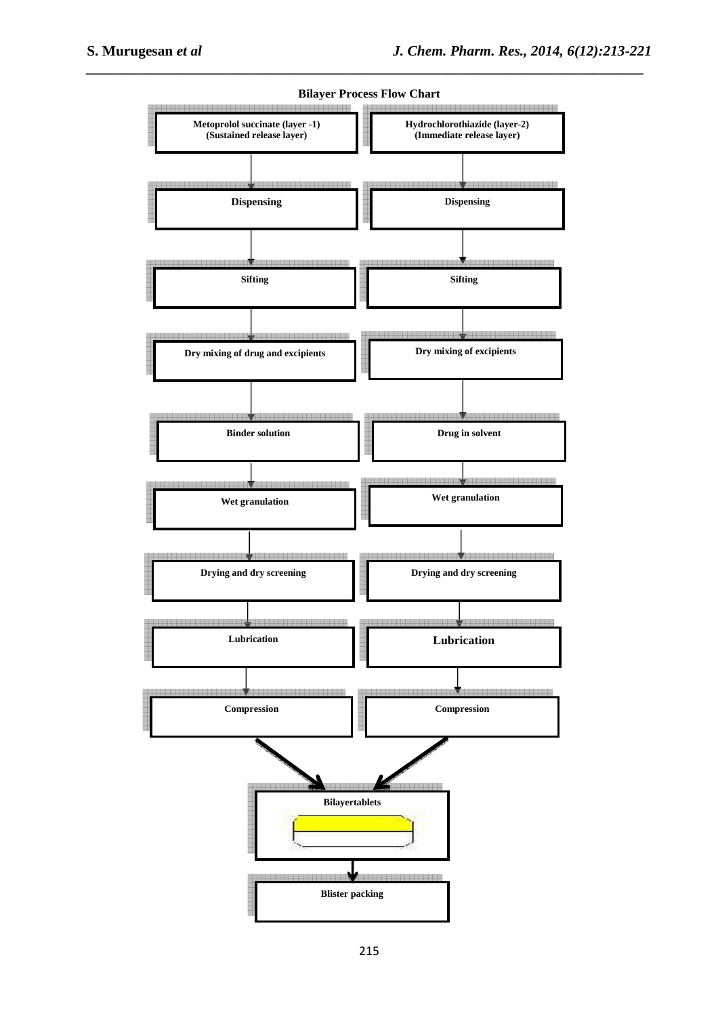

**Bilayer Process Flow Chart** 

*\_\_\_\_\_\_\_\_\_\_\_\_\_\_\_\_\_\_\_\_\_\_\_\_\_\_\_\_\_\_\_\_\_\_\_\_\_\_\_\_\_\_\_\_\_\_\_\_\_\_\_\_\_\_\_\_\_\_\_\_\_\_\_\_\_\_\_\_\_\_\_\_\_\_\_\_\_*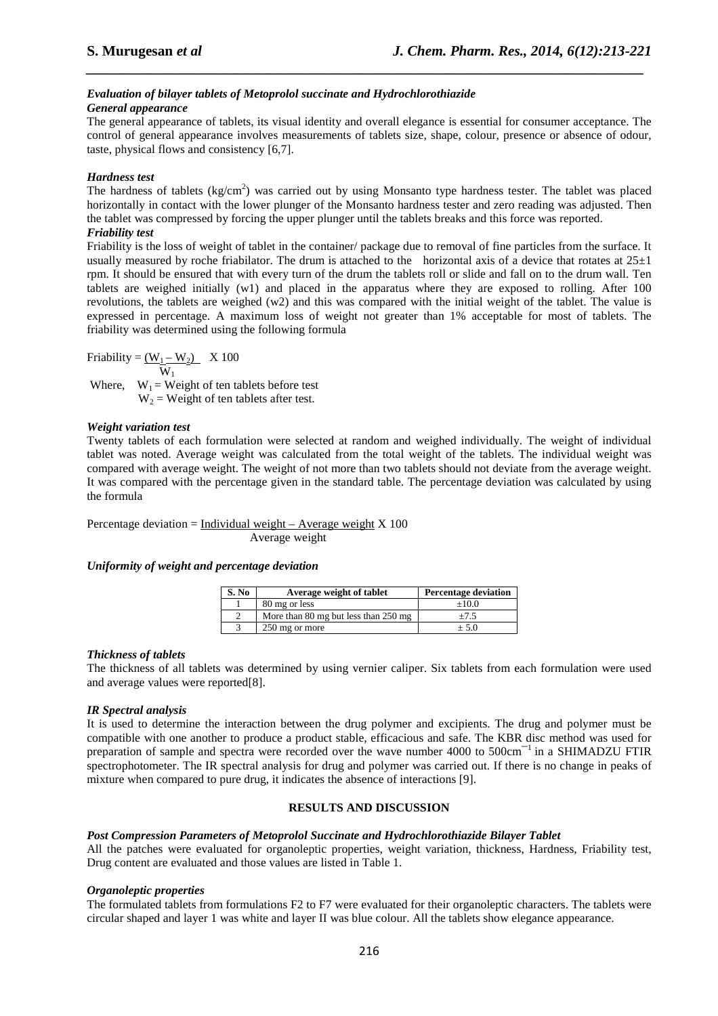# *Evaluation of bilayer tablets of Metoprolol succinate and Hydrochlorothiazide*

## *General appearance*

The general appearance of tablets, its visual identity and overall elegance is essential for consumer acceptance. The control of general appearance involves measurements of tablets size, shape, colour, presence or absence of odour, taste, physical flows and consistency [6,7].

*\_\_\_\_\_\_\_\_\_\_\_\_\_\_\_\_\_\_\_\_\_\_\_\_\_\_\_\_\_\_\_\_\_\_\_\_\_\_\_\_\_\_\_\_\_\_\_\_\_\_\_\_\_\_\_\_\_\_\_\_\_\_\_\_\_\_\_\_\_\_\_\_\_\_\_\_\_*

## *Hardness test*

The hardness of tablets ( $kg/cm<sup>2</sup>$ ) was carried out by using Monsanto type hardness tester. The tablet was placed horizontally in contact with the lower plunger of the Monsanto hardness tester and zero reading was adjusted. Then the tablet was compressed by forcing the upper plunger until the tablets breaks and this force was reported. *Friability test* 

Friability is the loss of weight of tablet in the container/ package due to removal of fine particles from the surface. It usually measured by roche friabilator. The drum is attached to the horizontal axis of a device that rotates at  $25±1$ rpm. It should be ensured that with every turn of the drum the tablets roll or slide and fall on to the drum wall. Ten tablets are weighed initially (w1) and placed in the apparatus where they are exposed to rolling. After 100 revolutions, the tablets are weighed (w2) and this was compared with the initial weight of the tablet. The value is expressed in percentage. A maximum loss of weight not greater than 1% acceptable for most of tablets. The friability was determined using the following formula

Friability =  $(\underline{W_1} - \underline{W_2})$  X 100  $W_1$ Where,  $W_1$  = Weight of ten tablets before test  $W_2$  = Weight of ten tablets after test.

## *Weight variation test*

Twenty tablets of each formulation were selected at random and weighed individually. The weight of individual tablet was noted. Average weight was calculated from the total weight of the tablets. The individual weight was compared with average weight. The weight of not more than two tablets should not deviate from the average weight. It was compared with the percentage given in the standard table. The percentage deviation was calculated by using the formula

Percentage deviation = Individual weight – Average weight  $X$  100

Average weight

## *Uniformity of weight and percentage deviation*

| S. No | Average weight of tablet             | <b>Percentage deviation</b> |
|-------|--------------------------------------|-----------------------------|
|       | 80 mg or less                        | $+10.0$                     |
|       | More than 80 mg but less than 250 mg | $+7.5$                      |
|       | 250 mg or more                       | $+5.0$                      |

## *Thickness of tablets*

The thickness of all tablets was determined by using vernier caliper. Six tablets from each formulation were used and average values were reported[8].

## *IR Spectral analysis*

It is used to determine the interaction between the drug polymer and excipients. The drug and polymer must be compatible with one another to produce a product stable, efficacious and safe. The KBR disc method was used for preparation of sample and spectra were recorded over the wave number 4000 to 500cm<sup>-1</sup> in a SHIMADZU FTIR spectrophotometer. The IR spectral analysis for drug and polymer was carried out. If there is no change in peaks of mixture when compared to pure drug, it indicates the absence of interactions [9].

## **RESULTS AND DISCUSSION**

## *Post Compression Parameters of Metoprolol Succinate and Hydrochlorothiazide Bilayer Tablet*

All the patches were evaluated for organoleptic properties, weight variation, thickness, Hardness, Friability test, Drug content are evaluated and those values are listed in Table 1.

## *Organoleptic properties*

The formulated tablets from formulations F2 to F7 were evaluated for their organoleptic characters. The tablets were circular shaped and layer 1 was white and layer II was blue colour. All the tablets show elegance appearance.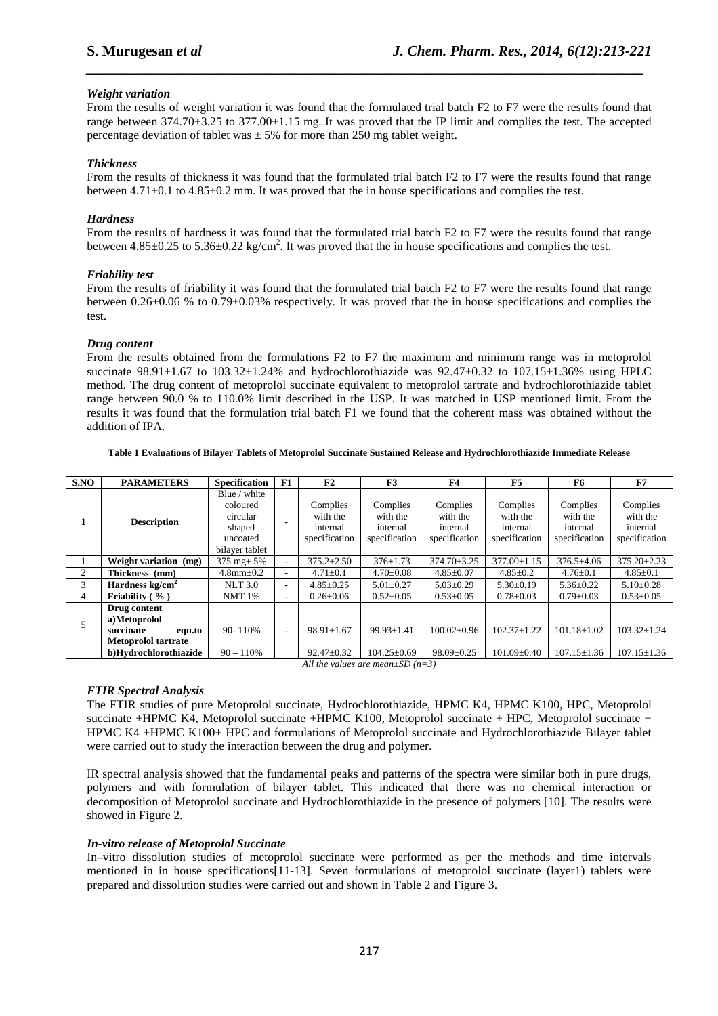## *Weight variation*

From the results of weight variation it was found that the formulated trial batch F2 to F7 were the results found that range between 374.70±3.25 to 377.00±1.15 mg. It was proved that the IP limit and complies the test. The accepted percentage deviation of tablet was  $\pm$  5% for more than 250 mg tablet weight.

*\_\_\_\_\_\_\_\_\_\_\_\_\_\_\_\_\_\_\_\_\_\_\_\_\_\_\_\_\_\_\_\_\_\_\_\_\_\_\_\_\_\_\_\_\_\_\_\_\_\_\_\_\_\_\_\_\_\_\_\_\_\_\_\_\_\_\_\_\_\_\_\_\_\_\_\_\_*

## *Thickness*

From the results of thickness it was found that the formulated trial batch F2 to F7 were the results found that range between 4.71±0.1 to 4.85±0.2 mm. It was proved that the in house specifications and complies the test.

## *Hardness*

From the results of hardness it was found that the formulated trial batch F2 to F7 were the results found that range between  $4.85\pm0.25$  to  $5.36\pm0.22$  kg/cm<sup>2</sup>. It was proved that the in house specifications and complies the test.

## *Friability test*

From the results of friability it was found that the formulated trial batch F2 to F7 were the results found that range between 0.26±0.06 % to 0.79±0.03% respectively. It was proved that the in house specifications and complies the test.

## *Drug content*

From the results obtained from the formulations F2 to F7 the maximum and minimum range was in metoprolol succinate  $98.91 \pm 1.67$  to  $103.32 \pm 1.24\%$  and hydrochlorothiazide was  $92.47 \pm 0.32$  to  $107.15 \pm 1.36\%$  using HPLC method. The drug content of metoprolol succinate equivalent to metoprolol tartrate and hydrochlorothiazide tablet range between 90.0 % to 110.0% limit described in the USP. It was matched in USP mentioned limit. From the results it was found that the formulation trial batch F1 we found that the coherent mass was obtained without the addition of IPA.

#### **Table 1 Evaluations of Bilayer Tablets of Metoprolol Succinate Sustained Release and Hydrochlorothiazide Immediate Release**

| SNO | <b>PARAMETERS</b>                                                                 | <b>Specification</b>                                                         | F1                       | F2                                                | F3                                                | F4                                                | F5                                                | F6                                                | F7                                                |
|-----|-----------------------------------------------------------------------------------|------------------------------------------------------------------------------|--------------------------|---------------------------------------------------|---------------------------------------------------|---------------------------------------------------|---------------------------------------------------|---------------------------------------------------|---------------------------------------------------|
| 1   | <b>Description</b>                                                                | Blue / white<br>coloured<br>circular<br>shaped<br>uncoated<br>bilayer tablet |                          | Complies<br>with the<br>internal<br>specification | Complies<br>with the<br>internal<br>specification | Complies<br>with the<br>internal<br>specification | Complies<br>with the<br>internal<br>specification | Complies<br>with the<br>internal<br>specification | Complies<br>with the<br>internal<br>specification |
|     | Weight variation (mg)                                                             | 375 mg $\pm$ 5%                                                              | ۰.                       | $375.2 \pm 2.50$                                  | $376 \pm 1.73$                                    | $374.70 \pm 3.25$                                 | 377.00±1.15                                       | $376.5 \pm 4.06$                                  | $375.20 \pm 2.23$                                 |
| 2   | Thickness (mm)                                                                    | $4.8$ mm $\pm$ 0.2                                                           | ۰.                       | $4.71 \pm 0.1$                                    | $4.70 \pm 0.08$                                   | $4.85 \pm 0.07$                                   | $4.85 \pm 0.2$                                    | $4.76 \pm 0.1$                                    | $4.85 \pm 0.1$                                    |
| 3   | Hardness $kg/cm2$                                                                 | <b>NLT 3.0</b>                                                               | ۰.                       | $4.85 \pm 0.25$                                   | $5.01 \pm 0.27$                                   | $5.03 \pm 0.29$                                   | $5.30 \pm 0.19$                                   | $5.36 \pm 0.22$                                   | $5.10 \pm 0.28$                                   |
| 4   | Friability $(\frac{9}{6})$                                                        | <b>NMT</b> 1%                                                                | ۰.                       | $0.26 \pm 0.06$                                   | $0.52 \pm 0.05$                                   | $0.53 \pm 0.05$                                   | $0.78 \pm 0.03$                                   | $0.79 \pm 0.03$                                   | $0.53 \pm 0.05$                                   |
| 5   | Drug content<br>a)Metoprolol<br>succinate<br>equ.to<br><b>Metoprolol tartrate</b> | 90-110%                                                                      | $\overline{\phantom{a}}$ | $98.91 \pm 1.67$                                  | $99.93 \pm 1.41$                                  | $100.02 \pm 0.96$                                 | $102.37 \pm 1.22$                                 | $101.18 \pm 1.02$                                 | $103.32 \pm 1.24$                                 |
|     | b)Hydrochlorothiazide                                                             | $90 - 110%$                                                                  |                          | $92.47 \pm 0.32$                                  | $104.25 \pm 0.69$                                 | $98.09 \pm 0.25$                                  | $101.09 \pm 0.40$                                 | $107.15 \pm 1.36$                                 | $107.15 \pm 1.36$                                 |

*All the values are mean±SD (n=3)* 

## *FTIR Spectral Analysis*

The FTIR studies of pure Metoprolol succinate, Hydrochlorothiazide, HPMC K4, HPMC K100, HPC, Metoprolol succinate +HPMC K4, Metoprolol succinate +HPMC K100, Metoprolol succinate + HPC, Metoprolol succinate + HPMC K4 +HPMC K100+ HPC and formulations of Metoprolol succinate and Hydrochlorothiazide Bilayer tablet were carried out to study the interaction between the drug and polymer.

IR spectral analysis showed that the fundamental peaks and patterns of the spectra were similar both in pure drugs, polymers and with formulation of bilayer tablet. This indicated that there was no chemical interaction or decomposition of Metoprolol succinate and Hydrochlorothiazide in the presence of polymers [10]. The results were showed in Figure 2.

## *In-vitro release of Metoprolol Succinate*

In–vitro dissolution studies of metoprolol succinate were performed as per the methods and time intervals mentioned in in house specifications[11-13]. Seven formulations of metoprolol succinate (layer1) tablets were prepared and dissolution studies were carried out and shown in Table 2 and Figure 3.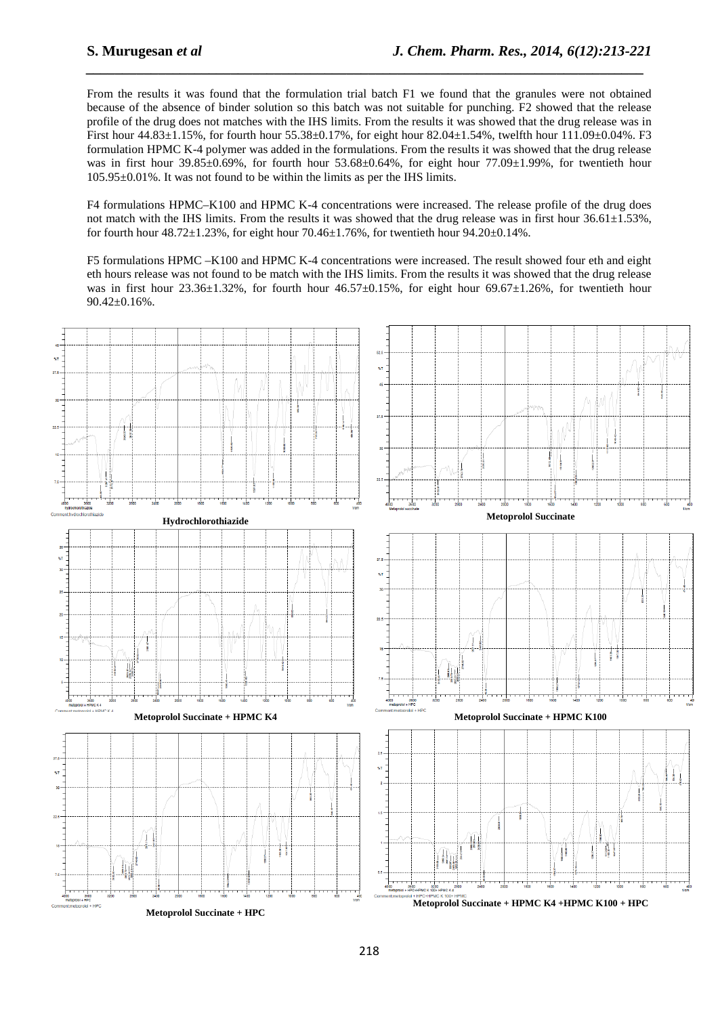From the results it was found that the formulation trial batch F1 we found that the granules were not obtained because of the absence of binder solution so this batch was not suitable for punching. F2 showed that the release profile of the drug does not matches with the IHS limits. From the results it was showed that the drug release was in First hour 44.83±1.15%, for fourth hour 55.38±0.17%, for eight hour 82.04±1.54%, twelfth hour 111.09±0.04%. F3 formulation HPMC K-4 polymer was added in the formulations. From the results it was showed that the drug release was in first hour 39.85±0.69%, for fourth hour 53.68±0.64%, for eight hour 77.09±1.99%, for twentieth hour 105.95±0.01%. It was not found to be within the limits as per the IHS limits.

*\_\_\_\_\_\_\_\_\_\_\_\_\_\_\_\_\_\_\_\_\_\_\_\_\_\_\_\_\_\_\_\_\_\_\_\_\_\_\_\_\_\_\_\_\_\_\_\_\_\_\_\_\_\_\_\_\_\_\_\_\_\_\_\_\_\_\_\_\_\_\_\_\_\_\_\_\_*

F4 formulations HPMC–K100 and HPMC K-4 concentrations were increased. The release profile of the drug does not match with the IHS limits. From the results it was showed that the drug release was in first hour  $36.61 \pm 1.53\%$ , for fourth hour  $48.72 \pm 1.23$ %, for eight hour  $70.46 \pm 1.76$ %, for twentieth hour  $94.20 \pm 0.14$ %.

F5 formulations HPMC –K100 and HPMC K-4 concentrations were increased. The result showed four eth and eight eth hours release was not found to be match with the IHS limits. From the results it was showed that the drug release was in first hour 23.36±1.32%, for fourth hour  $46.57\pm0.15$ %, for eight hour 69.67±1.26%, for twentieth hour  $90.42 \pm 0.16\%$ .

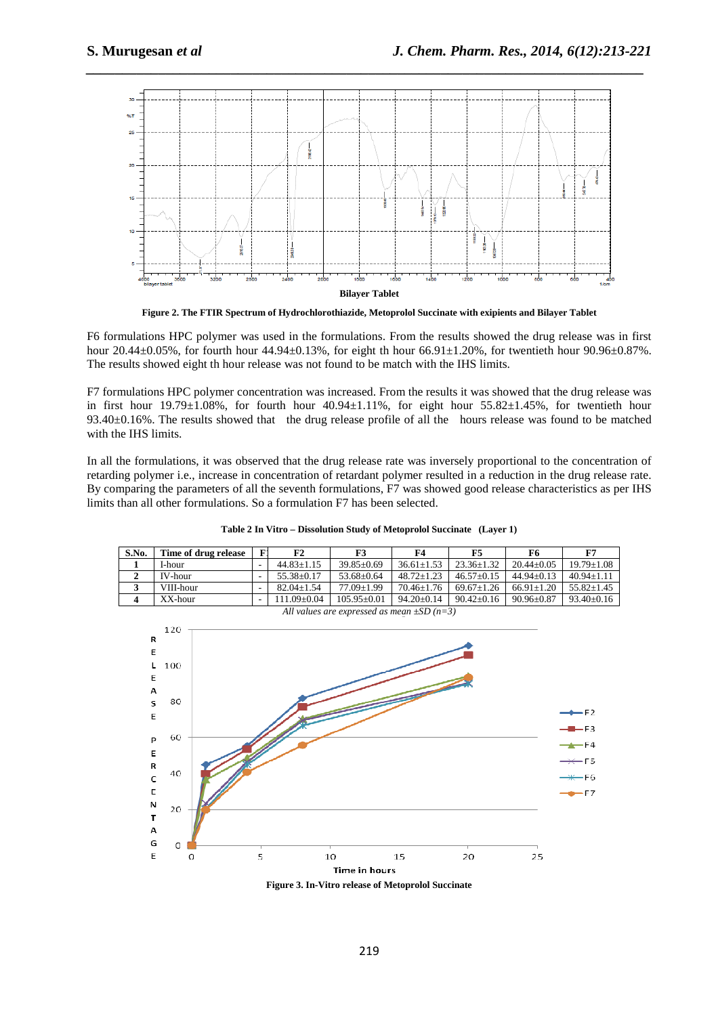

*\_\_\_\_\_\_\_\_\_\_\_\_\_\_\_\_\_\_\_\_\_\_\_\_\_\_\_\_\_\_\_\_\_\_\_\_\_\_\_\_\_\_\_\_\_\_\_\_\_\_\_\_\_\_\_\_\_\_\_\_\_\_\_\_\_\_\_\_\_\_\_\_\_\_\_\_\_*

**Figure 2. The FTIR Spectrum of Hydrochlorothiazide, Metoprolol Succinate with exipients and Bilayer Tablet** 

F6 formulations HPC polymer was used in the formulations. From the results showed the drug release was in first hour 20.44±0.05%, for fourth hour 44.94±0.13%, for eight th hour 66.91±1.20%, for twentieth hour 90.96±0.87%. The results showed eight th hour release was not found to be match with the IHS limits.

F7 formulations HPC polymer concentration was increased. From the results it was showed that the drug release was in first hour  $19.79\pm1.08\%$ , for fourth hour  $40.94\pm1.11\%$ , for eight hour  $55.82\pm1.45\%$ , for twentieth hour 93.40±0.16%. The results showed that the drug release profile of all the hours release was found to be matched with the IHS limits.

In all the formulations, it was observed that the drug release rate was inversely proportional to the concentration of retarding polymer i.e., increase in concentration of retardant polymer resulted in a reduction in the drug release rate. By comparing the parameters of all the seventh formulations, F7 was showed good release characteristics as per IHS limits than all other formulations. So a formulation F7 has been selected.

**Table 2 In Vitro – Dissolution Study of Metoprolol Succinate (Layer 1)** 

| S.No.                                           | Time of drug release |  | F2               | F3              | F4             | F5             | F6             | F7               |
|-------------------------------------------------|----------------------|--|------------------|-----------------|----------------|----------------|----------------|------------------|
|                                                 | I-hour               |  | $44.83 + 1.15$   | $39.85 + 0.69$  | $36.61 + 1.53$ | $23.36 + 1.32$ | $20.44 + 0.05$ | $19.79 + 1.08$   |
| ▵                                               | <b>IV-hour</b>       |  | $55.38 \pm 0.17$ | $53.68 + 0.64$  | $48.72 + 1.23$ | $46.57+0.15$   | $44.94 + 0.13$ | $40.94 + 1.11$   |
| J                                               | VIII-hour            |  | $82.04 + 1.54$   | $77.09 + 1.99$  | $70.46 + 1.76$ | $69.67+1.26$   | $66.91 + 1.20$ | $55.82 + 1.45$   |
| 4                                               | $XX$ -hour           |  | $111.09 + 0.04$  | $105.95 + 0.01$ | $94.20 + 0.14$ | $90.42 + 0.16$ | $90.96 + 0.87$ | $93.40 \pm 0.16$ |
| All values are expressed as mean $\pm SD$ (n=3) |                      |  |                  |                 |                |                |                |                  |



**Figure 3. In-Vitro release of Metoprolol Succinate**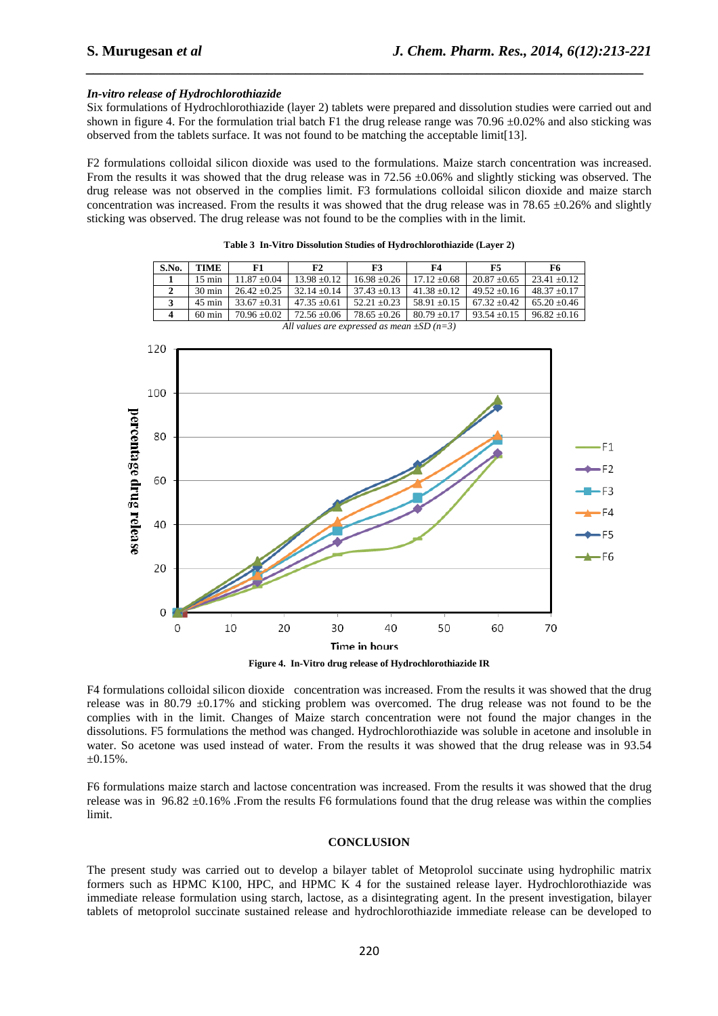#### *In-vitro release of Hydrochlorothiazide*

Six formulations of Hydrochlorothiazide (layer 2) tablets were prepared and dissolution studies were carried out and shown in figure 4. For the formulation trial batch F1 the drug release range was  $70.96 \pm 0.02\%$  and also sticking was observed from the tablets surface. It was not found to be matching the acceptable limit[13].

*\_\_\_\_\_\_\_\_\_\_\_\_\_\_\_\_\_\_\_\_\_\_\_\_\_\_\_\_\_\_\_\_\_\_\_\_\_\_\_\_\_\_\_\_\_\_\_\_\_\_\_\_\_\_\_\_\_\_\_\_\_\_\_\_\_\_\_\_\_\_\_\_\_\_\_\_\_*

F2 formulations colloidal silicon dioxide was used to the formulations. Maize starch concentration was increased. From the results it was showed that the drug release was in 72.56  $\pm 0.06\%$  and slightly sticking was observed. The drug release was not observed in the complies limit. F3 formulations colloidal silicon dioxide and maize starch concentration was increased. From the results it was showed that the drug release was in 78.65  $\pm$ 0.26% and slightly sticking was observed. The drug release was not found to be the complies with in the limit.

| S.No.                                           | TIME             | F1               | F2               | F3               | F4               | F5               | F6             |  |
|-------------------------------------------------|------------------|------------------|------------------|------------------|------------------|------------------|----------------|--|
|                                                 | $15 \text{ min}$ | $11.87 \pm 0.04$ | $13.98 \pm 0.12$ | $16.98 + 0.26$   | $17.12 + 0.68$   | $20.87 \pm 0.65$ | $23.41 + 0.12$ |  |
| 2                                               | $30 \text{ min}$ | $26.42 + 0.25$   | $32.14 + 0.14$   | $37.43 + 0.13$   | $41.38 \pm 0.12$ | $49.52 \pm 0.16$ | $48.37 + 0.17$ |  |
| 3                                               | $45 \text{ min}$ | $33.67 + 0.31$   | $47.35 \pm 0.61$ | $52.21 + 0.23$   | $58.91 + 0.15$   | $67.32 + 0.42$   | $65.20 + 0.46$ |  |
| 4                                               | $60 \text{ min}$ | $70.96 + 0.02$   | $72.56 + 0.06$   | $78.65 \pm 0.26$ | $80.79 + 0.17$   | $93.54 \pm 0.15$ | $96.82 + 0.16$ |  |
| All values are expressed as mean $\pm SD$ (n=3) |                  |                  |                  |                  |                  |                  |                |  |

**Table 3 In-Vitro Dissolution Studies of Hydrochlorothiazide (Layer 2)** 



**Figure 4. In-Vitro drug release of Hydrochlorothiazide IR**

F4 formulations colloidal silicon dioxide concentration was increased. From the results it was showed that the drug release was in 80.79  $\pm$ 0.17% and sticking problem was overcomed. The drug release was not found to be the complies with in the limit. Changes of Maize starch concentration were not found the major changes in the dissolutions. F5 formulations the method was changed. Hydrochlorothiazide was soluble in acetone and insoluble in water. So acetone was used instead of water. From the results it was showed that the drug release was in 93.54  $\pm 0.15\%$ .

F6 formulations maize starch and lactose concentration was increased. From the results it was showed that the drug release was in  $96.82 \pm 0.16\%$ . From the results F6 formulations found that the drug release was within the complies limit.

#### **CONCLUSION**

The present study was carried out to develop a bilayer tablet of Metoprolol succinate using hydrophilic matrix formers such as HPMC K100, HPC, and HPMC K 4 for the sustained release layer. Hydrochlorothiazide was immediate release formulation using starch, lactose, as a disintegrating agent. In the present investigation, bilayer tablets of metoprolol succinate sustained release and hydrochlorothiazide immediate release can be developed to